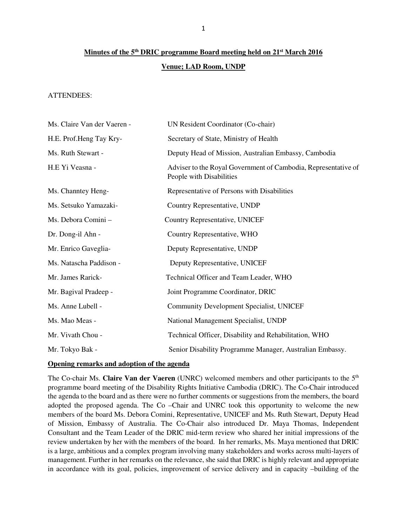# **Minutes of the 5th DRIC programme Board meeting held on 21st March 2016 Venue; LAD Room, UNDP**

## ATTENDEES:

| Ms. Claire Van der Vaeren - | UN Resident Coordinator (Co-chair)                                                         |
|-----------------------------|--------------------------------------------------------------------------------------------|
| H.E. Prof.Heng Tay Kry-     | Secretary of State, Ministry of Health                                                     |
| Ms. Ruth Stewart -          | Deputy Head of Mission, Australian Embassy, Cambodia                                       |
| H.E Yi Veasna -             | Adviser to the Royal Government of Cambodia, Representative of<br>People with Disabilities |
| Ms. Channtey Heng-          | Representative of Persons with Disabilities                                                |
| Ms. Setsuko Yamazaki-       | Country Representative, UNDP                                                               |
| Ms. Debora Comini -         | Country Representative, UNICEF                                                             |
| Dr. Dong-il Ahn -           | Country Representative, WHO                                                                |
| Mr. Enrico Gaveglia-        | Deputy Representative, UNDP                                                                |
| Ms. Natascha Paddison -     | Deputy Representative, UNICEF                                                              |
| Mr. James Rarick-           | Technical Officer and Team Leader, WHO                                                     |
| Mr. Bagival Pradeep -       | Joint Programme Coordinator, DRIC                                                          |
| Ms. Anne Lubell -           | <b>Community Development Specialist, UNICEF</b>                                            |
| Ms. Mao Meas -              | National Management Specialist, UNDP                                                       |
| Mr. Vivath Chou -           | Technical Officer, Disability and Rehabilitation, WHO                                      |
| Mr. Tokyo Bak -             | Senior Disability Programme Manager, Australian Embassy.                                   |

#### **Opening remarks and adoption of the agenda**

The Co-chair Ms. **Claire Van der Vaeren** (UNRC) welcomed members and other participants to the 5th programme board meeting of the Disability Rights Initiative Cambodia (DRIC). The Co-Chair introduced the agenda to the board and as there were no further comments or suggestions from the members, the board adopted the proposed agenda. The Co –Chair and UNRC took this opportunity to welcome the new members of the board Ms. Debora Comini, Representative, UNICEF and Ms. Ruth Stewart, Deputy Head of Mission, Embassy of Australia. The Co-Chair also introduced Dr. Maya Thomas, Independent Consultant and the Team Leader of the DRIC mid-term review who shared her initial impressions of the review undertaken by her with the members of the board. In her remarks, Ms. Maya mentioned that DRIC is a large, ambitious and a complex program involving many stakeholders and works across multi-layers of management. Further in her remarks on the relevance, she said that DRIC is highly relevant and appropriate in accordance with its goal, policies, improvement of service delivery and in capacity –building of the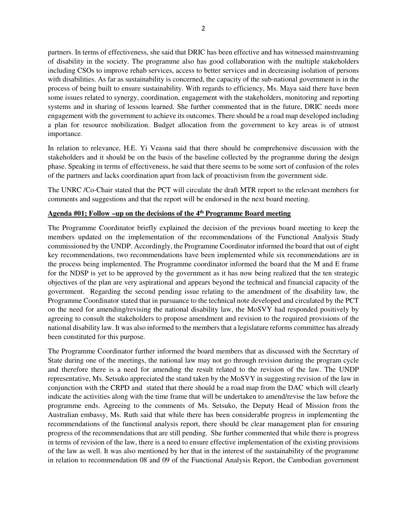partners. In terms of effectiveness, she said that DRIC has been effective and has witnessed mainstreaming of disability in the society. The programme also has good collaboration with the multiple stakeholders including CSOs to improve rehab services, access to better services and in decreasing isolation of persons with disabilities. As far as sustainability is concerned, the capacity of the sub-national government is in the process of being built to ensure sustainability. With regards to efficiency, Ms. Maya said there have been some issues related to synergy, coordination, engagement with the stakeholders, monitoring and reporting systems and in sharing of lessons learned. She further commented that in the future, DRIC needs more engagement with the government to achieve its outcomes. There should be a road map developed including a plan for resource mobilization. Budget allocation from the government to key areas is of utmost importance.

In relation to relevance, H.E. Yi Veasna said that there should be comprehensive discussion with the stakeholders and it should be on the basis of the baseline collected by the programme during the design phase. Speaking in terms of effectiveness, he said that there seems to be some sort of confusion of the roles of the partners and lacks coordination apart from lack of proactivism from the government side.

The UNRC /Co-Chair stated that the PCT will circulate the draft MTR report to the relevant members for comments and suggestions and that the report will be endorsed in the next board meeting.

#### **Agenda #01; Follow –up on the decisions of the 4th Programme Board meeting**

The Programme Coordinator briefly explained the decision of the previous board meeting to keep the members updated on the implementation of the recommendations of the Functional Analysis Study commissioned by the UNDP. Accordingly, the Programme Coordinator informed the board that out of eight key recommendations, two recommendations have been implemented while six recommendations are in the process being implemented. The Programme coordinator informed the board that the M and E frame for the NDSP is yet to be approved by the government as it has now being realized that the ten strategic objectives of the plan are very aspirational and appears beyond the technical and financial capacity of the government. Regarding the second pending issue relating to the amendment of the disability law, the Programme Coordinator stated that in pursuance to the technical note developed and circulated by the PCT on the need for amending/revising the national disability law, the MoSVY had responded positively by agreeing to consult the stakeholders to propose amendment and revision to the required provisions of the national disability law. It was also informed to the members that a legislature reforms committee has already been constituted for this purpose.

The Programme Coordinator further informed the board members that as discussed with the Secretary of State during one of the meetings, the national law may not go through revision during the program cycle and therefore there is a need for amending the result related to the revision of the law. The UNDP representative, Ms. Setsuko appreciated the stand taken by the MoSVY in suggesting revision of the law in conjunction with the CRPD and stated that there should be a road map from the DAC which will clearly indicate the activities along with the time frame that will be undertaken to amend/revise the law before the programme ends. Agreeing to the comments of Ms. Setsuko, the Deputy Head of Mission from the Australian embassy, Ms. Ruth said that while there has been considerable progress in implementing the recommendations of the functional analysis report, there should be clear management plan for ensuring progress of the recommendations that are still pending. She further commented that while there is progress in terms of revision of the law, there is a need to ensure effective implementation of the existing provisions of the law as well. It was also mentioned by her that in the interest of the sustainability of the programme in relation to recommendation 08 and 09 of the Functional Analysis Report, the Cambodian government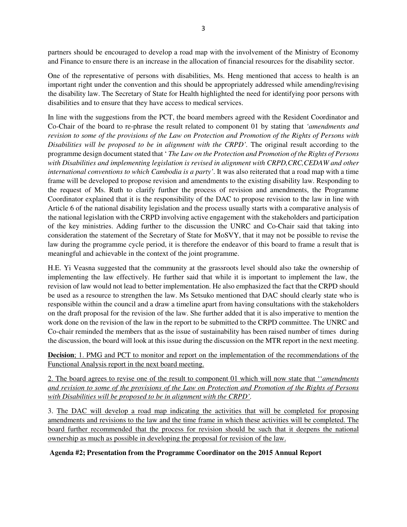partners should be encouraged to develop a road map with the involvement of the Ministry of Economy and Finance to ensure there is an increase in the allocation of financial resources for the disability sector.

One of the representative of persons with disabilities, Ms. Heng mentioned that access to health is an important right under the convention and this should be appropriately addressed while amending/revising the disability law. The Secretary of State for Health highlighted the need for identifying poor persons with disabilities and to ensure that they have access to medical services.

In line with the suggestions from the PCT, the board members agreed with the Resident Coordinator and Co-Chair of the board to re-phrase the result related to component 01 by stating that *'amendments and revision to some of the provisions of the Law on Protection and Promotion of the Rights of Persons with Disabilities will be proposed to be in alignment with the CRPD'.* The original result according to the programme design document stated that ' *The Law on the Protection and Promotion of the Rights of Persons with Disabilities and implementing legislation is revised in alignment with CRPD,CRC,CEDAW and other international conventions to which Cambodia is a party'*. It was also reiterated that a road map with a time frame will be developed to propose revision and amendments to the existing disability law. Responding to the request of Ms. Ruth to clarify further the process of revision and amendments, the Programme Coordinator explained that it is the responsibility of the DAC to propose revision to the law in line with Article 6 of the national disability legislation and the process usually starts with a comparative analysis of the national legislation with the CRPD involving active engagement with the stakeholders and participation of the key ministries. Adding further to the discussion the UNRC and Co-Chair said that taking into consideration the statement of the Secretary of State for MoSVY, that it may not be possible to revise the law during the programme cycle period, it is therefore the endeavor of this board to frame a result that is meaningful and achievable in the context of the joint programme.

H.E. Yi Veasna suggested that the community at the grassroots level should also take the ownership of implementing the law effectively. He further said that while it is important to implement the law, the revision of law would not lead to better implementation. He also emphasized the fact that the CRPD should be used as a resource to strengthen the law. Ms Setsuko mentioned that DAC should clearly state who is responsible within the council and a draw a timeline apart from having consultations with the stakeholders on the draft proposal for the revision of the law. She further added that it is also imperative to mention the work done on the revision of the law in the report to be submitted to the CRPD committee. The UNRC and Co-chair reminded the members that as the issue of sustainability has been raised number of times during the discussion, the board will look at this issue during the discussion on the MTR report in the next meeting.

**Decision**; 1. PMG and PCT to monitor and report on the implementation of the recommendations of the Functional Analysis report in the next board meeting.

2. The board agrees to revise one of the result to component 01 which will now state that ''*amendments and revision to some of the provisions of the Law on Protection and Promotion of the Rights of Persons with Disabilities will be proposed to be in alignment with the CRPD'.* 

3. The DAC will develop a road map indicating the activities that will be completed for proposing amendments and revisions to the law and the time frame in which these activities will be completed. The board further recommended that the process for revision should be such that it deepens the national ownership as much as possible in developing the proposal for revision of the law.

## **Agenda #2; Presentation from the Programme Coordinator on the 2015 Annual Report**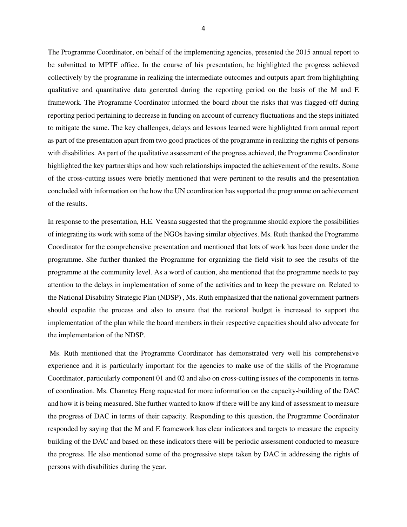The Programme Coordinator, on behalf of the implementing agencies, presented the 2015 annual report to be submitted to MPTF office. In the course of his presentation, he highlighted the progress achieved collectively by the programme in realizing the intermediate outcomes and outputs apart from highlighting qualitative and quantitative data generated during the reporting period on the basis of the M and E framework. The Programme Coordinator informed the board about the risks that was flagged-off during reporting period pertaining to decrease in funding on account of currency fluctuations and the steps initiated to mitigate the same. The key challenges, delays and lessons learned were highlighted from annual report as part of the presentation apart from two good practices of the programme in realizing the rights of persons with disabilities. As part of the qualitative assessment of the progress achieved, the Programme Coordinator highlighted the key partnerships and how such relationships impacted the achievement of the results. Some of the cross-cutting issues were briefly mentioned that were pertinent to the results and the presentation concluded with information on the how the UN coordination has supported the programme on achievement of the results.

In response to the presentation, H.E. Veasna suggested that the programme should explore the possibilities of integrating its work with some of the NGOs having similar objectives. Ms. Ruth thanked the Programme Coordinator for the comprehensive presentation and mentioned that lots of work has been done under the programme. She further thanked the Programme for organizing the field visit to see the results of the programme at the community level. As a word of caution, she mentioned that the programme needs to pay attention to the delays in implementation of some of the activities and to keep the pressure on. Related to the National Disability Strategic Plan (NDSP) , Ms. Ruth emphasized that the national government partners should expedite the process and also to ensure that the national budget is increased to support the implementation of the plan while the board members in their respective capacities should also advocate for the implementation of the NDSP.

 Ms. Ruth mentioned that the Programme Coordinator has demonstrated very well his comprehensive experience and it is particularly important for the agencies to make use of the skills of the Programme Coordinator, particularly component 01 and 02 and also on cross-cutting issues of the components in terms of coordination. Ms. Channtey Heng requested for more information on the capacity-building of the DAC and how it is being measured. She further wanted to know if there will be any kind of assessment to measure the progress of DAC in terms of their capacity. Responding to this question, the Programme Coordinator responded by saying that the M and E framework has clear indicators and targets to measure the capacity building of the DAC and based on these indicators there will be periodic assessment conducted to measure the progress. He also mentioned some of the progressive steps taken by DAC in addressing the rights of persons with disabilities during the year.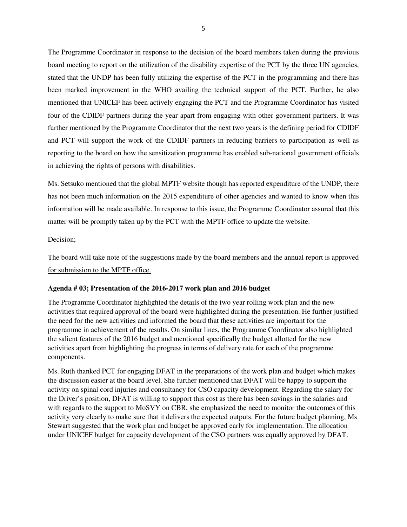The Programme Coordinator in response to the decision of the board members taken during the previous board meeting to report on the utilization of the disability expertise of the PCT by the three UN agencies, stated that the UNDP has been fully utilizing the expertise of the PCT in the programming and there has been marked improvement in the WHO availing the technical support of the PCT. Further, he also mentioned that UNICEF has been actively engaging the PCT and the Programme Coordinator has visited four of the CDIDF partners during the year apart from engaging with other government partners. It was further mentioned by the Programme Coordinator that the next two years is the defining period for CDIDF and PCT will support the work of the CDIDF partners in reducing barriers to participation as well as reporting to the board on how the sensitization programme has enabled sub-national government officials in achieving the rights of persons with disabilities.

Ms. Setsuko mentioned that the global MPTF website though has reported expenditure of the UNDP, there has not been much information on the 2015 expenditure of other agencies and wanted to know when this information will be made available. In response to this issue, the Programme Coordinator assured that this matter will be promptly taken up by the PCT with the MPTF office to update the website.

## Decision;

The board will take note of the suggestions made by the board members and the annual report is approved for submission to the MPTF office.

## **Agenda # 03; Presentation of the 2016-2017 work plan and 2016 budget**

The Programme Coordinator highlighted the details of the two year rolling work plan and the new activities that required approval of the board were highlighted during the presentation. He further justified the need for the new activities and informed the board that these activities are important for the programme in achievement of the results. On similar lines, the Programme Coordinator also highlighted the salient features of the 2016 budget and mentioned specifically the budget allotted for the new activities apart from highlighting the progress in terms of delivery rate for each of the programme components.

Ms. Ruth thanked PCT for engaging DFAT in the preparations of the work plan and budget which makes the discussion easier at the board level. She further mentioned that DFAT will be happy to support the activity on spinal cord injuries and consultancy for CSO capacity development. Regarding the salary for the Driver's position, DFAT is willing to support this cost as there has been savings in the salaries and with regards to the support to MoSVY on CBR, she emphasized the need to monitor the outcomes of this activity very clearly to make sure that it delivers the expected outputs. For the future budget planning, Ms Stewart suggested that the work plan and budget be approved early for implementation. The allocation under UNICEF budget for capacity development of the CSO partners was equally approved by DFAT.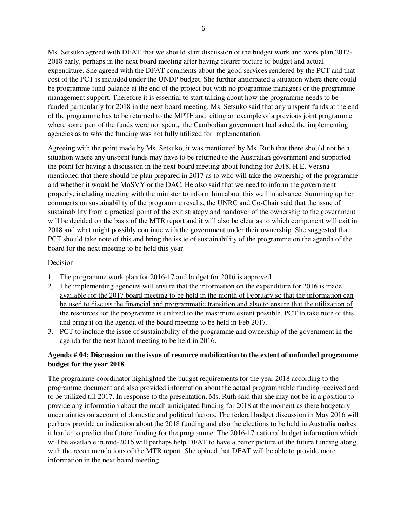Ms. Setsuko agreed with DFAT that we should start discussion of the budget work and work plan 2017- 2018 early, perhaps in the next board meeting after having clearer picture of budget and actual expenditure. She agreed with the DFAT comments about the good services rendered by the PCT and that cost of the PCT is included under the UNDP budget. She further anticipated a situation where there could be programme fund balance at the end of the project but with no programme managers or the programme management support. Therefore it is essential to start talking about how the programme needs to be funded particularly for 2018 in the next board meeting. Ms. Setsuko said that any unspent funds at the end of the programme has to be returned to the MPTF and citing an example of a previous joint programme where some part of the funds were not spent, the Cambodian government had asked the implementing agencies as to why the funding was not fully utilized for implementation.

Agreeing with the point made by Ms. Setsuko, it was mentioned by Ms. Ruth that there should not be a situation where any unspent funds may have to be returned to the Australian government and supported the point for having a discussion in the next board meeting about funding for 2018. H.E. Veasna mentioned that there should be plan prepared in 2017 as to who will take the ownership of the programme and whether it would be MoSVY or the DAC. He also said that we need to inform the government properly, including meeting with the minister to inform him about this well in advance. Summing up her comments on sustainability of the programme results, the UNRC and Co-Chair said that the issue of sustainability from a practical point of the exit strategy and handover of the ownership to the government will be decided on the basis of the MTR report and it will also be clear as to which component will exit in 2018 and what might possibly continue with the government under their ownership. She suggested that PCT should take note of this and bring the issue of sustainability of the programme on the agenda of the board for the next meeting to be held this year.

#### Decision

- 1. The programme work plan for 2016-17 and budget for 2016 is approved.
- 2. The implementing agencies will ensure that the information on the expenditure for 2016 is made available for the 2017 board meeting to be held in the month of February so that the information can be used to discuss the financial and programmatic transition and also to ensure that the utilization of the resources for the programme is utilized to the maximum extent possible. PCT to take note of this and bring it on the agenda of the board meeting to be held in Feb 2017.
- 3. PCT to include the issue of sustainability of the programme and ownership of the government in the agenda for the next board meeting to be held in 2016.

## **Agenda # 04; Discussion on the issue of resource mobilization to the extent of unfunded programme budget for the year 2018**

The programme coordinator highlighted the budget requirements for the year 2018 according to the programme document and also provided information about the actual programmable funding received and to be utilized till 2017. In response to the presentation, Ms. Ruth said that she may not be in a position to provide any information about the much anticipated funding for 2018 at the moment as there budgetary uncertainties on account of domestic and political factors. The federal budget discussion in May 2016 will perhaps provide an indication about the 2018 funding and also the elections to be held in Australia makes it harder to predict the future funding for the programme. The 2016-17 national budget information which will be available in mid-2016 will perhaps help DFAT to have a better picture of the future funding along with the recommendations of the MTR report. She opined that DFAT will be able to provide more information in the next board meeting.